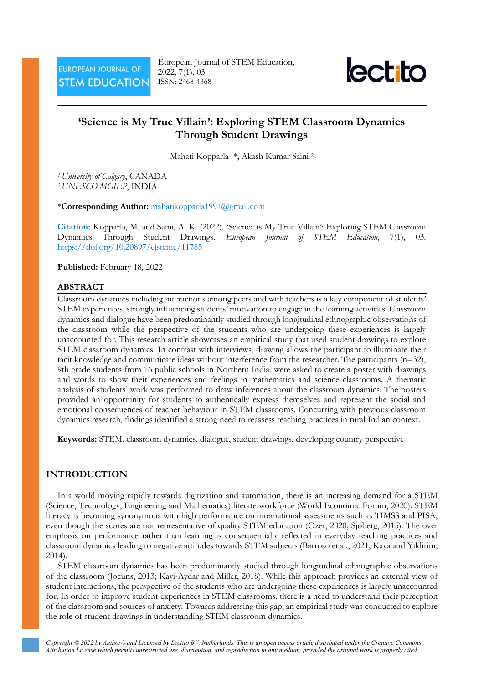European Journal of STEM Education, 2022, 7(1), 03 ISSN: 2468-4368



# **'Science is My True Villain': Exploring STEM Classroom Dynamics Through Student Drawings**

Mahati Kopparla 1\*, Akash Kumar Saini <sup>2</sup>

*<sup>1</sup> University of Calgary*, CANADA *<sup>2</sup> UNESCO MGIEP*, INDIA

\***Corresponding Author:** [mahatikopparla1991@gmail.com](mailto:mahatikopparla1991@gmail.com)

**Citation:** Kopparla, M. and Saini, A. K. (2022). 'Science is My True Villain': Exploring STEM Classroom Dynamics Through Student Drawings. *European Journal of STEM Education*, 7(1), 03. <https://doi.org/10.20897/ejsteme/11785>

#### **Published:** February 18, 2022

#### **ABSTRACT**

Classroom dynamics including interactions among peers and with teachers is a key component of students' STEM experiences, strongly influencing students' motivation to engage in the learning activities. Classroom dynamics and dialogue have been predominantly studied through longitudinal ethnographic observations of the classroom while the perspective of the students who are undergoing these experiences is largely unaccounted for. This research article showcases an empirical study that used student drawings to explore STEM classroom dynamics. In contrast with interviews, drawing allows the participant to illuminate their tacit knowledge and communicate ideas without interference from the researcher. The participants (n=32), 9th grade students from 16 public schools in Northern India, were asked to create a poster with drawings and words to show their experiences and feelings in mathematics and science classrooms. A thematic analysis of students' work was performed to draw inferences about the classroom dynamics. The posters provided an opportunity for students to authentically express themselves and represent the social and emotional consequences of teacher behaviour in STEM classrooms. Concurring with previous classroom dynamics research, findings identified a strong need to reassess teaching practices in rural Indian context.

**Keywords:** STEM, classroom dynamics, dialogue, student drawings, developing country perspective

### **INTRODUCTION**

In a world moving rapidly towards digitization and automation, there is an increasing demand for a STEM (Science, Technology, Engineering and Mathematics) literate workforce (World Economic Forum, 2020). STEM literacy is becoming synonymous with high performance on international assessments such as TIMSS and PISA, even though the scores are not representative of quality STEM education (Ozer, 2020; Sjøberg, 2015). The over emphasis on performance rather than learning is consequentially reflected in everyday teaching practices and classroom dynamics leading to negative attitudes towards STEM subjects (Barroso et al., 2021; Kaya and Yildirim, 2014).

STEM classroom dynamics has been predominantly studied through longitudinal ethnographic observations of the classroom (Jocuns, 2013; Kayi-Aydar and Miller, 2018). While this approach provides an external view of student interactions, the perspective of the students who are undergoing these experiences is largely unaccounted for. In order to improve student experiences in STEM classrooms, there is a need to understand their perception of the classroom and sources of anxiety. Towards addressing this gap, an empirical study was conducted to explore the role of student drawings in understanding STEM classroom dynamics.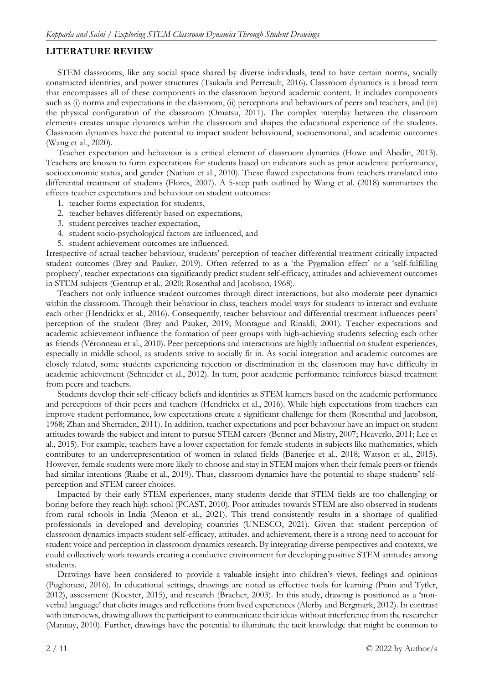## **LITERATURE REVIEW**

STEM classrooms, like any social space shared by diverse individuals, tend to have certain norms, socially constructed identities, and power structures (Tsukada and Perreault, 2016). Classroom dynamics is a broad term that encompasses all of these components in the classroom beyond academic content. It includes components such as (i) norms and expectations in the classroom, (ii) perceptions and behaviours of peers and teachers, and (iii) the physical configuration of the classroom (Omatsu, 2011). The complex interplay between the classroom elements creates unique dynamics within the classroom and shapes the educational experience of the students. Classroom dynamics have the potential to impact student behavioural, socioemotional, and academic outcomes (Wang et al., 2020).

Teacher expectation and behaviour is a critical element of classroom dynamics (Howe and Abedin, 2013). Teachers are known to form expectations for students based on indicators such as prior academic performance, socioeconomic status, and gender (Nathan et al., 2010). These flawed expectations from teachers translated into differential treatment of students (Flores, 2007). A 5-step path outlined by Wang et al. (2018) summarizes the effects teacher expectations and behaviour on student outcomes:

- 1. teacher forms expectation for students,
- 2. teacher behaves differently based on expectations,
- 3. student perceives teacher expectation,
- 4. student socio-psychological factors are influenced, and
- 5. student achievement outcomes are influenced.

Irrespective of actual teacher behaviour, students' perception of teacher differential treatment critically impacted student outcomes (Brey and Pauker, 2019). Often referred to as a 'the Pygmalion effect' or a 'self-fulfilling prophecy', teacher expectations can significantly predict student self-efficacy, attitudes and achievement outcomes in STEM subjects (Gentrup et al., 2020; Rosenthal and Jacobson, 1968).

Teachers not only influence student outcomes through direct interactions, but also moderate peer dynamics within the classroom. Through their behaviour in class, teachers model ways for students to interact and evaluate each other (Hendrickx et al., 2016). Consequently, teacher behaviour and differential treatment influences peers' perception of the student (Brey and Pauker, 2019; Montague and Rinaldi, 2001). Teacher expectations and academic achievement influence the formation of peer groups with high-achieving students selecting each other as friends (Véronneau et al., 2010). Peer perceptions and interactions are highly influential on student experiences, especially in middle school, as students strive to socially fit in. As social integration and academic outcomes are closely related, some students experiencing rejection or discrimination in the classroom may have difficulty in academic achievement (Schneider et al., 2012). In turn, poor academic performance reinforces biased treatment from peers and teachers.

Students develop their self-efficacy beliefs and identities as STEM learners based on the academic performance and perceptions of their peers and teachers (Hendrickx et al., 2016). While high expectations from teachers can improve student performance, low expectations create a significant challenge for them (Rosenthal and Jacobson, 1968; Zhan and Sherraden, 2011). In addition, teacher expectations and peer behaviour have an impact on student attitudes towards the subject and intent to pursue STEM careers (Benner and Mistry, 2007; Heaverlo, 2011; Lee et al., 2015). For example, teachers have a lower expectation for female students in subjects like mathematics, which contributes to an underrepresentation of women in related fields (Banerjee et al., 2018; Watson et al., 2015). However, female students were more likely to choose and stay in STEM majors when their female peers or friends had similar intentions (Raabe et al., 2019). Thus, classroom dynamics have the potential to shape students' selfperception and STEM career choices.

Impacted by their early STEM experiences, many students decide that STEM fields are too challenging or boring before they reach high school (PCAST, 2010). Poor attitudes towards STEM are also observed in students from rural schools in India (Menon et al., 2021). This trend consistently results in a shortage of qualified professionals in developed and developing countries (UNESCO, 2021). Given that student perception of classroom dynamics impacts student self-efficacy, attitudes, and achievement, there is a strong need to account for student voice and perception in classroom dynamics research. By integrating diverse perspectives and contexts, we could collectively work towards creating a conducive environment for developing positive STEM attitudes among students.

Drawings have been considered to provide a valuable insight into children's views, feelings and opinions (Puglionesi, 2016). In educational settings, drawings are noted as effective tools for learning (Prain and Tytler, 2012), assessment (Koester, 2015), and research (Bracher, 2003). In this study, drawing is positioned as a 'nonverbal language' that elicits images and reflections from lived experiences (Alerby and Bergmark, 2012). In contrast with interviews, drawing allows the participant to communicate their ideas without interference from the researcher (Mannay, 2010). Further, drawings have the potential to illuminate the tacit knowledge that might be common to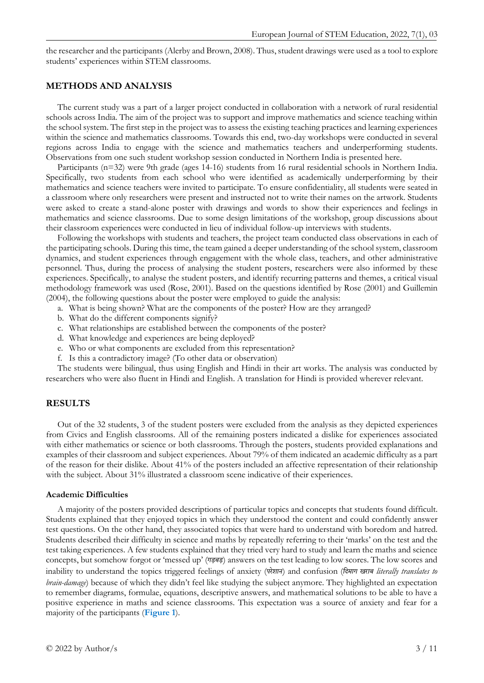the researcher and the participants (Alerby and Brown, 2008). Thus, student drawings were used as a tool to explore students' experiences within STEM classrooms.

### **METHODS AND ANALYSIS**

The current study was a part of a larger project conducted in collaboration with a network of rural residential schools across India. The aim of the project was to support and improve mathematics and science teaching within the school system. The first step in the project was to assess the existing teaching practices and learning experiences within the science and mathematics classrooms. Towards this end, two-day workshops were conducted in several regions across India to engage with the science and mathematics teachers and underperforming students. Observations from one such student workshop session conducted in Northern India is presented here.

Participants (n=32) were 9th grade (ages 14-16) students from 16 rural residential schools in Northern India. Specifically, two students from each school who were identified as academically underperforming by their mathematics and science teachers were invited to participate. To ensure confidentiality, all students were seated in a classroom where only researchers were present and instructed not to write their names on the artwork. Students were asked to create a stand-alone poster with drawings and words to show their experiences and feelings in mathematics and science classrooms. Due to some design limitations of the workshop, group discussions about their classroom experiences were conducted in lieu of individual follow-up interviews with students.

Following the workshops with students and teachers, the project team conducted class observations in each of the participating schools. During this time, the team gained a deeper understanding of the school system, classroom dynamics, and student experiences through engagement with the whole class, teachers, and other administrative personnel. Thus, during the process of analysing the student posters, researchers were also informed by these experiences. Specifically, to analyse the student posters, and identify recurring patterns and themes, a critical visual methodology framework was used (Rose, 2001). Based on the questions identified by Rose (2001) and Guillemin (2004), the following questions about the poster were employed to guide the analysis:

- a. What is being shown? What are the components of the poster? How are they arranged?
- b. What do the different components signify?
- c. What relationships are established between the components of the poster?
- d. What knowledge and experiences are being deployed?
- e. Who or what components are excluded from this representation?
- f. Is this a contradictory image? (To other data or observation)

The students were bilingual, thus using English and Hindi in their art works. The analysis was conducted by researchers who were also fluent in Hindi and English. A translation for Hindi is provided wherever relevant.

### **RESULTS**

Out of the 32 students, 3 of the student posters were excluded from the analysis as they depicted experiences from Civics and English classrooms. All of the remaining posters indicated a dislike for experiences associated with either mathematics or science or both classrooms. Through the posters, students provided explanations and examples of their classroom and subject experiences. About 79% of them indicated an academic difficulty as a part of the reason for their dislike. About 41% of the posters included an affective representation of their relationship with the subject. About 31% illustrated a classroom scene indicative of their experiences.

#### **Academic Difficulties**

A majority of the posters provided descriptions of particular topics and concepts that students found difficult. Students explained that they enjoyed topics in which they understood the content and could confidently answer test questions. On the other hand, they associated topics that were hard to understand with boredom and hatred. Students described their difficulty in science and maths by repeatedly referring to their 'marks' on the test and the test taking experiences. A few students explained that they tried very hard to study and learn the maths and science concepts, but somehow forgot or 'messed up' (*गड़बड़*) answers on the test leading to low scores. The low scores and inability to understand the topics triggered feelings of anxiety (*परेशान*) and confusion (*िदमाग खराब literally translates to brain-damage*) because of which they didn't feel like studying the subject anymore. They highlighted an expectation to remember diagrams, formulae, equations, descriptive answers, and mathematical solutions to be able to have a positive experience in maths and science classrooms. This expectation was a source of anxiety and fear for a majority of the participants (**Figure 1**).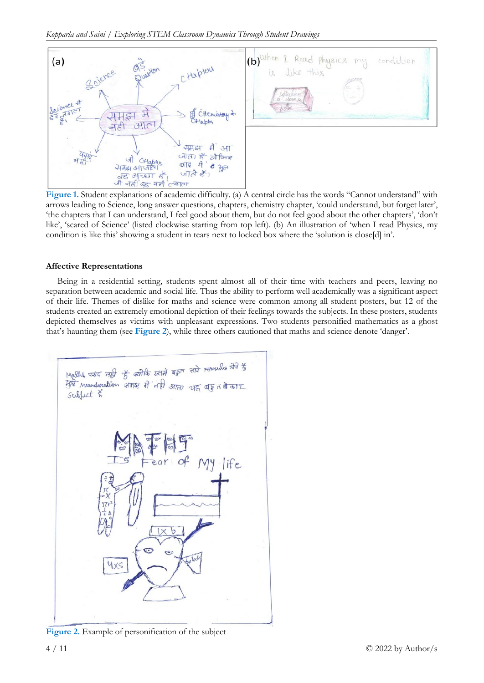



**Figure 1.** Student explanations of academic difficulty. (a) A central circle has the words "Cannot understand" with arrows leading to Science, long answer questions, chapters, chemistry chapter, 'could understand, but forget later', 'the chapters that I can understand, I feel good about them, but do not feel good about the other chapters', 'don't like', 'scared of Science' (listed clockwise starting from top left). (b) An illustration of 'when I read Physics, my condition is like this' showing a student in tears next to locked box where the 'solution is close[d] in'.

### **Affective Representations**

Being in a residential setting, students spent almost all of their time with teachers and peers, leaving no separation between academic and social life. Thus the ability to perform well academically was a significant aspect of their life. Themes of dislike for maths and science were common among all student posters, but 12 of the students created an extremely emotional depiction of their feelings towards the subjects. In these posters, students depicted themselves as victims with unpleasant expressions. Two students personified mathematics as a ghost that's haunting them (see **Figure 2**), while three others cautioned that maths and science denote 'danger'.



**Figure 2.** Example of personification of the subject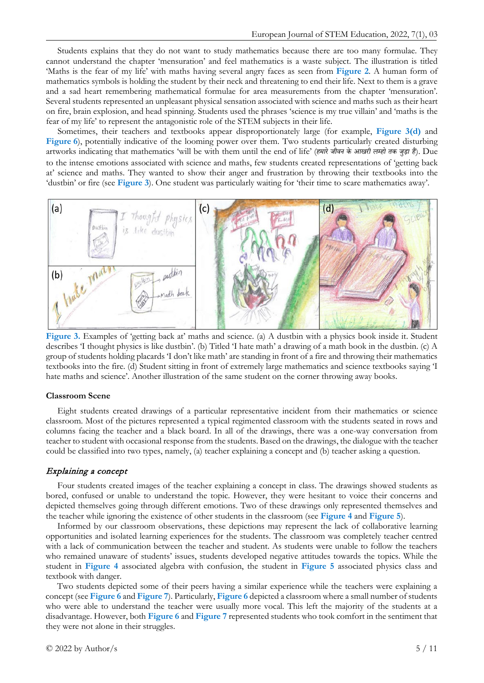Students explains that they do not want to study mathematics because there are too many formulae. They cannot understand the chapter 'mensuration' and feel mathematics is a waste subject. The illustration is titled 'Maths is the fear of my life' with maths having several angry faces as seen from **Figure 2**. A human form of mathematics symbols is holding the student by their neck and threatening to end their life. Next to them is a grave and a sad heart remembering mathematical formulae for area measurements from the chapter 'mensuration'. Several students represented an unpleasant physical sensation associated with science and maths such as their heart on fire, brain explosion, and head spinning. Students used the phrases 'science is my true villain' and 'maths is the fear of my life' to represent the antagonistic role of the STEM subjects in their life.

Sometimes, their teachers and textbooks appear disproportionately large (for example, **Figure 3(d)** and **Figure 6**), potentially indicative of the looming power over them. Two students particularly created disturbing artworks indicating that mathematics 'will be with them until the end of life' (*हमारेजीवन के आखरी लम्हो तक जु ड़ा है*). Due to the intense emotions associated with science and maths, few students created representations of 'getting back at' science and maths. They wanted to show their anger and frustration by throwing their textbooks into the 'dustbin' or fire (see **Figure 3**). One student was particularly waiting for 'their time to scare mathematics away'.



**Figure 3.** Examples of 'getting back at' maths and science. (a) A dustbin with a physics book inside it. Student describes 'I thought physics is like dustbin'. (b) Titled 'I hate math' a drawing of a math book in the dustbin. (c) A group of students holding placards 'I don't like math' are standing in front of a fire and throwing their mathematics textbooks into the fire. (d) Student sitting in front of extremely large mathematics and science textbooks saying 'I hate maths and science'. Another illustration of the same student on the corner throwing away books.

#### **Classroom Scene**

Eight students created drawings of a particular representative incident from their mathematics or science classroom. Most of the pictures represented a typical regimented classroom with the students seated in rows and columns facing the teacher and a black board. In all of the drawings, there was a one-way conversation from teacher to student with occasional response from the students. Based on the drawings, the dialogue with the teacher could be classified into two types, namely, (a) teacher explaining a concept and (b) teacher asking a question.

#### Explaining a concept

Four students created images of the teacher explaining a concept in class. The drawings showed students as bored, confused or unable to understand the topic. However, they were hesitant to voice their concerns and depicted themselves going through different emotions. Two of these drawings only represented themselves and the teacher while ignoring the existence of other students in the classroom (see **Figure 4** and **Figure 5**).

Informed by our classroom observations, these depictions may represent the lack of collaborative learning opportunities and isolated learning experiences for the students. The classroom was completely teacher centred with a lack of communication between the teacher and student. As students were unable to follow the teachers who remained unaware of students' issues, students developed negative attitudes towards the topics. While the student in **Figure 4** associated algebra with confusion, the student in **Figure 5** associated physics class and textbook with danger.

Two students depicted some of their peers having a similar experience while the teachers were explaining a concept (see **Figure 6** and **Figure 7**). Particularly, **Figure 6** depicted a classroom where a small number of students who were able to understand the teacher were usually more vocal. This left the majority of the students at a disadvantage. However, both **Figure 6** and **Figure 7** represented students who took comfort in the sentiment that they were not alone in their struggles.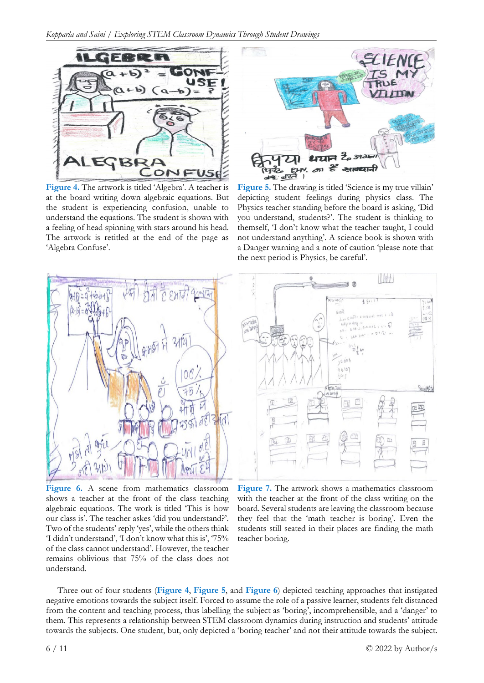

**Figure 4.** The artwork is titled 'Algebra'. A teacher is at the board writing down algebraic equations. But the student is experiencing confusion, unable to understand the equations. The student is shown with a feeling of head spinning with stars around his head. The artwork is retitled at the end of the page as 'Algebra Confuse'.



**Figure 5.** The drawing is titled 'Science is my true villain' depicting student feelings during physics class. The Physics teacher standing before the board is asking, 'Did you understand, students?'. The student is thinking to themself, 'I don't know what the teacher taught, I could not understand anything'. A science book is shown with a Danger warning and a note of caution 'please note that the next period is Physics, be careful'.



**Figure 6.** A scene from mathematics classroom shows a teacher at the front of the class teaching algebraic equations. The work is titled 'This is how our class is'. The teacher askes 'did you understand?'. Two of the students' reply 'yes', while the others think 'I didn't understand', 'I don't know what this is', '75% of the class cannot understand'. However, the teacher remains oblivious that 75% of the class does not understand.



**Figure 7.** The artwork shows a mathematics classroom with the teacher at the front of the class writing on the board. Several students are leaving the classroom because they feel that the 'math teacher is boring'. Even the students still seated in their places are finding the math teacher boring.

Three out of four students (**Figure 4**, **Figure 5**, and **Figure 6**) depicted teaching approaches that instigated negative emotions towards the subject itself. Forced to assume the role of a passive learner, students felt distanced from the content and teaching process, thus labelling the subject as 'boring', incomprehensible, and a 'danger' to them. This represents a relationship between STEM classroom dynamics during instruction and students' attitude towards the subjects. One student, but, only depicted a 'boring teacher' and not their attitude towards the subject.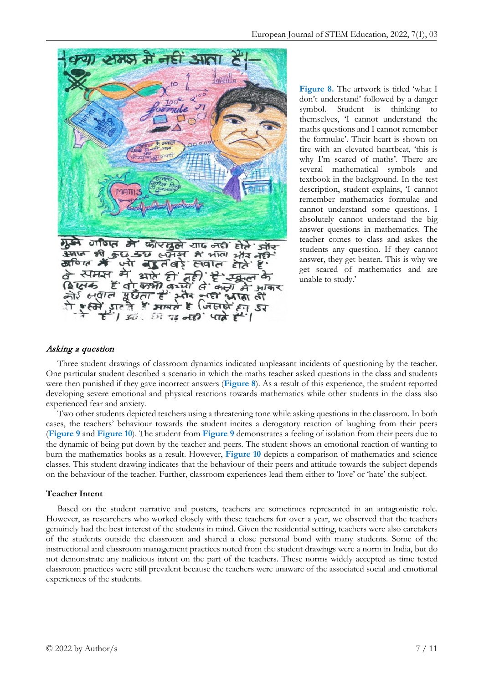

**Figure 8.** The artwork is titled 'what I don't understand' followed by a danger symbol. Student is thinking themselves, 'I cannot understand the maths questions and I cannot remember the formulae'. Their heart is shown on fire with an elevated heartbeat, 'this is why I'm scared of maths'. There are several mathematical symbols and textbook in the background. In the test description, student explains, 'I cannot remember mathematics formulae and cannot understand some questions. I absolutely cannot understand the big answer questions in mathematics. The teacher comes to class and askes the students any question. If they cannot answer, they get beaten. This is why we get scared of mathematics and are unable to study.'

### Asking a question

Three student drawings of classroom dynamics indicated unpleasant incidents of questioning by the teacher. One particular student described a scenario in which the maths teacher asked questions in the class and students were then punished if they gave incorrect answers (**Figure 8**). As a result of this experience, the student reported developing severe emotional and physical reactions towards mathematics while other students in the class also experienced fear and anxiety.

Two other students depicted teachers using a threatening tone while asking questions in the classroom. In both cases, the teachers' behaviour towards the student incites a derogatory reaction of laughing from their peers (**Figure 9** and **Figure 10**). The student from **Figure 9** demonstrates a feeling of isolation from their peers due to the dynamic of being put down by the teacher and peers. The student shows an emotional reaction of wanting to burn the mathematics books as a result. However, **Figure 10** depicts a comparison of mathematics and science classes. This student drawing indicates that the behaviour of their peers and attitude towards the subject depends on the behaviour of the teacher. Further, classroom experiences lead them either to 'love' or 'hate' the subject.

### **Teacher Intent**

Based on the student narrative and posters, teachers are sometimes represented in an antagonistic role. However, as researchers who worked closely with these teachers for over a year, we observed that the teachers genuinely had the best interest of the students in mind. Given the residential setting, teachers were also caretakers of the students outside the classroom and shared a close personal bond with many students. Some of the instructional and classroom management practices noted from the student drawings were a norm in India, but do not demonstrate any malicious intent on the part of the teachers. These norms widely accepted as time tested classroom practices were still prevalent because the teachers were unaware of the associated social and emotional experiences of the students.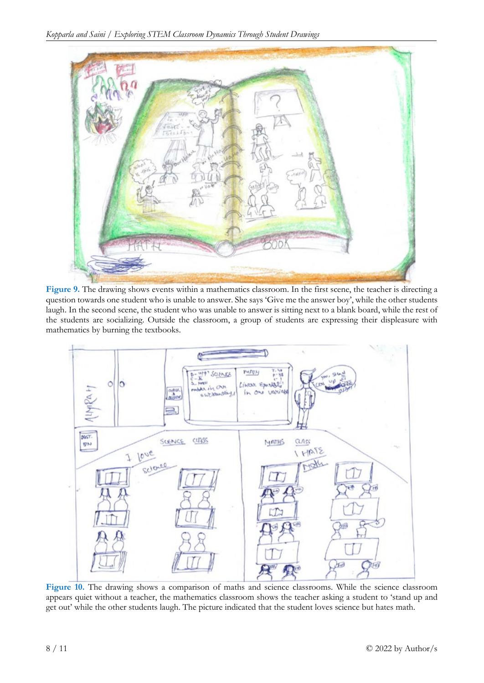

**Figure 9.** The drawing shows events within a mathematics classroom. In the first scene, the teacher is directing a question towards one student who is unable to answer. She says 'Give me the answer boy', while the other students laugh. In the second scene, the student who was unable to answer is sitting next to a blank board, while the rest of the students are socializing. Outside the classroom, a group of students are expressing their displeasure with mathematics by burning the textbooks.



**Figure 10.** The drawing shows a comparison of maths and science classrooms. While the science classroom appears quiet without a teacher, the mathematics classroom shows the teacher asking a student to 'stand up and get out' while the other students laugh. The picture indicated that the student loves science but hates math.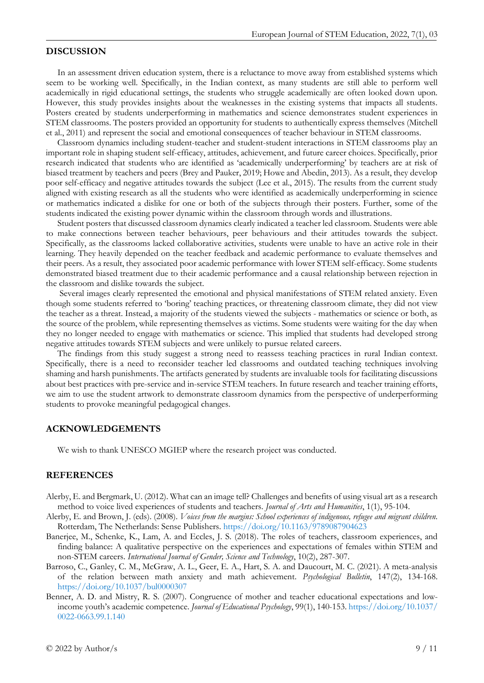### **DISCUSSION**

In an assessment driven education system, there is a reluctance to move away from established systems which seem to be working well. Specifically, in the Indian context, as many students are still able to perform well academically in rigid educational settings, the students who struggle academically are often looked down upon. However, this study provides insights about the weaknesses in the existing systems that impacts all students. Posters created by students underperforming in mathematics and science demonstrates student experiences in STEM classrooms. The posters provided an opportunity for students to authentically express themselves (Mitchell et al., 2011) and represent the social and emotional consequences of teacher behaviour in STEM classrooms.

Classroom dynamics including student-teacher and student-student interactions in STEM classrooms play an important role in shaping student self-efficacy, attitudes, achievement, and future career choices. Specifically, prior research indicated that students who are identified as 'academically underperforming' by teachers are at risk of biased treatment by teachers and peers (Brey and Pauker, 2019; Howe and Abedin, 2013). As a result, they develop poor self-efficacy and negative attitudes towards the subject (Lee et al., 2015). The results from the current study aligned with existing research as all the students who were identified as academically underperforming in science or mathematics indicated a dislike for one or both of the subjects through their posters. Further, some of the students indicated the existing power dynamic within the classroom through words and illustrations.

Student posters that discussed classroom dynamics clearly indicated a teacher led classroom. Students were able to make connections between teacher behaviours, peer behaviours and their attitudes towards the subject. Specifically, as the classrooms lacked collaborative activities, students were unable to have an active role in their learning. They heavily depended on the teacher feedback and academic performance to evaluate themselves and their peers. As a result, they associated poor academic performance with lower STEM self-efficacy. Some students demonstrated biased treatment due to their academic performance and a causal relationship between rejection in the classroom and dislike towards the subject.

Several images clearly represented the emotional and physical manifestations of STEM related anxiety. Even though some students referred to 'boring' teaching practices, or threatening classroom climate, they did not view the teacher as a threat. Instead, a majority of the students viewed the subjects - mathematics or science or both, as the source of the problem, while representing themselves as victims. Some students were waiting for the day when they no longer needed to engage with mathematics or science. This implied that students had developed strong negative attitudes towards STEM subjects and were unlikely to pursue related careers.

The findings from this study suggest a strong need to reassess teaching practices in rural Indian context. Specifically, there is a need to reconsider teacher led classrooms and outdated teaching techniques involving shaming and harsh punishments. The artifacts generated by students are invaluable tools for facilitating discussions about best practices with pre-service and in-service STEM teachers. In future research and teacher training efforts, we aim to use the student artwork to demonstrate classroom dynamics from the perspective of underperforming students to provoke meaningful pedagogical changes.

#### **ACKNOWLEDGEMENTS**

We wish to thank UNESCO MGIEP where the research project was conducted.

### **REFERENCES**

- Alerby, E. and Bergmark, U. (2012). What can an image tell? Challenges and benefits of using visual art as a research method to voice lived experiences of students and teachers. *Journal of Arts and Humanities*, 1(1), 95-104.
- Alerby, E. and Brown, J. (eds). (2008). *Voices from the margins: School experiences of indigenous, refugee and migrant children*. Rotterdam, The Netherlands: Sense Publishers. <https://doi.org/10.1163/9789087904623>
- Banerjee, M., Schenke, K., Lam, A. and Eccles, J. S. (2018). The roles of teachers, classroom experiences, and finding balance: A qualitative perspective on the experiences and expectations of females within STEM and non-STEM careers. *International Journal of Gender, Science and Technology*, 10(2), 287-307.
- Barroso, C., Ganley, C. M., McGraw, A. L., Geer, E. A., Hart, S. A. and Daucourt, M. C. (2021). A meta-analysis of the relation between math anxiety and math achievement. *Psychological Bulletin*, 147(2), 134-168. <https://doi.org/10.1037/bul0000307>
- Benner, A. D. and Mistry, R. S. (2007). Congruence of mother and teacher educational expectations and lowincome youth's academic competence. *Journal of Educational Psychology*, 99(1), 140-153. [https://doi.org/10.1037/](https://doi.org/10.1037/0022-0663.99.1.140) [0022-0663.99.1.140](https://doi.org/10.1037/0022-0663.99.1.140)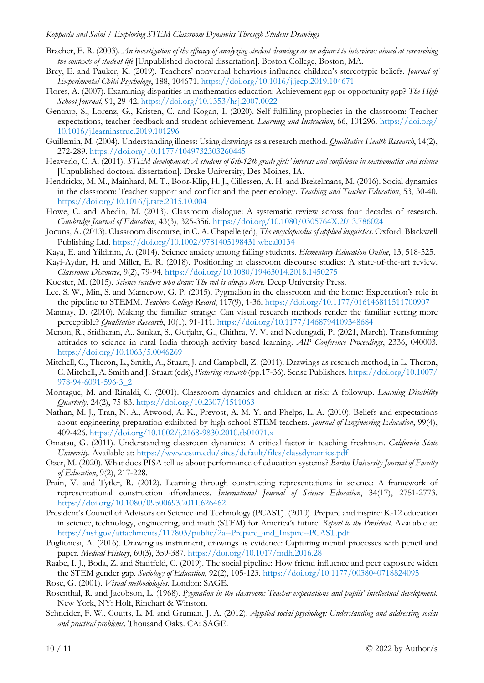- Bracher, E. R. (2003). An investigation of the efficacy of analyzing student drawings as an adjunct to interviews aimed at researching *the contexts of student life* [Unpublished doctoral dissertation]. Boston College, Boston, MA.
- Brey, E. and Pauker, K. (2019). Teachers' nonverbal behaviors influence children's stereotypic beliefs. *Journal of Experimental Child Psychology*, 188, 104671. <https://doi.org/10.1016/j.jecp.2019.104671>
- Flores, A. (2007). Examining disparities in mathematics education: Achievement gap or opportunity gap? *The High School Journal*, 91, 29-42. <https://doi.org/10.1353/hsj.2007.0022>
- Gentrup, S., Lorenz, G., Kristen, C. and Kogan, I. (2020). Self-fulfilling prophecies in the classroom: Teacher expectations, teacher feedback and student achievement. *Learning and Instruction*, 66, 101296. [https://doi.org/](https://doi.org/10.1016/j.learninstruc.2019.101296) [10.1016/j.learninstruc.2019.101296](https://doi.org/10.1016/j.learninstruc.2019.101296)
- Guillemin, M. (2004). Understanding illness: Using drawings as a research method. *Qualitative Health Research*, 14(2), 272-289. <https://doi.org/10.1177/1049732303260445>
- Heaverlo, C. A. (2011). STEM development: A student of 6th-12th grade girls' interest and confidence in mathematics and science [Unpublished doctoral dissertation]. Drake University, Des Moines, IA.
- Hendrickx, M. M., Mainhard, M. T., Boor-Klip, H. J., Cillessen, A. H. and Brekelmans, M. (2016). Social dynamics in the classroom: Teacher support and conflict and the peer ecology. *Teaching and Teacher Education*, 53, 30-40. <https://doi.org/10.1016/j.tate.2015.10.004>
- Howe, C. and Abedin, M. (2013). Classroom dialogue: A systematic review across four decades of research. *Cambridge Journal of Education*, 43(3), 325-356. <https://doi.org/10.1080/0305764X.2013.786024>
- Jocuns, A. (2013). Classroom discourse, in C. A. Chapelle (ed), *The encyclopaedia of applied linguistics*. Oxford: Blackwell Publishing Ltd. <https://doi.org/10.1002/9781405198431.wbeal0134>
- Kaya, E. and Yildirim, A. (2014). Science anxiety among failing students. *Elementary Education Online*, 13, 518-525.
- Kayi-Aydar, H. and Miller, E. R. (2018). Positioning in classroom discourse studies: A state-of-the-art review. *Classroom Discourse*, 9(2), 79-94. <https://doi.org/10.1080/19463014.2018.1450275>
- Koester, M. (2015). *Science teachers who draw: The red is always there.* Deep University Press.
- Lee, S. W., Min, S. and Mamerow, G. P. (2015). Pygmalion in the classroom and the home: Expectation's role in the pipeline to STEMM. *Teachers College Record*, 117(9), 1-36. <https://doi.org/10.1177/016146811511700907>
- Mannay, D. (2010). Making the familiar strange: Can visual research methods render the familiar setting more perceptible? *Qualitative Research*, 10(1), 91-111. <https://doi.org/10.1177/1468794109348684>
- Menon, R., Sridharan, A., Sankar, S., Gutjahr, G., Chithra, V. V. and Nedungadi, P. (2021, March). Transforming attitudes to science in rural India through activity based learning. *AIP Conference Proceedings*, 2336, 040003. <https://doi.org/10.1063/5.0046269>
- Mitchell, C., Theron, L., Smith, A., Stuart, J. and Campbell, Z. (2011). Drawings as research method, in L. Theron, C. Mitchell, A. Smith and J. Stuart (eds), *Picturing research* (pp.17-36). Sense Publishers. [https://doi.org/10.1007/](https://doi.org/10.1007/978-94-6091-596-3_2) [978-94-6091-596-3\\_2](https://doi.org/10.1007/978-94-6091-596-3_2)
- Montague, M. and Rinaldi, C. (2001). Classroom dynamics and children at risk: A followup. *Learning Disability Quarterly*, 24(2), 75-83. <https://doi.org/10.2307/1511063>
- Nathan, M. J., Tran, N. A., Atwood, A. K., Prevost, A. M. Y. and Phelps, L. A. (2010). Beliefs and expectations about engineering preparation exhibited by high school STEM teachers. *Journal of Engineering Education*, 99(4), 409-426. <https://doi.org/10.1002/j.2168-9830.2010.tb01071.x>
- Omatsu, G. (2011). Understanding classroom dynamics: A critical factor in teaching freshmen. *California State University*. Available at:<https://www.csun.edu/sites/default/files/classdynamics.pdf>
- Ozer, M. (2020). What does PISA tell us about performance of education systems? *Bartın University Journal of Faculty of Education*, 9(2), 217-228.
- Prain, V. and Tytler, R. (2012). Learning through constructing representations in science: A framework of representational construction affordances. *International Journal of Science Education*, 34(17), 2751-2773. <https://doi.org/10.1080/09500693.2011.626462>
- President's Council of Advisors on Science and Technology (PCAST). (2010). Prepare and inspire: K-12 education in science, technology, engineering, and math (STEM) for America's future. *Report to the President*. Available at: [https://nsf.gov/attachments/117803/public/2a--Prepare\\_and\\_Inspire--PCAST.pdf](https://nsf.gov/attachments/117803/public/2a--Prepare_and_Inspire--PCAST.pdf)
- Puglionesi, A. (2016). Drawing as instrument, drawings as evidence: Capturing mental processes with pencil and paper. *Medical History*, 60(3), 359-387. <https://doi.org/10.1017/mdh.2016.28>
- Raabe, I. J., Boda, Z. and Stadtfeld, C. (2019). The social pipeline: How friend influence and peer exposure widen the STEM gender gap. *Sociology of Education*, 92(2), 105-123. <https://doi.org/10.1177/0038040718824095> Rose, G. (2001). *Visual methodologies*. London: SAGE.
- Rosenthal, R. and Jacobson, L. (1968). *Pygmalion in the classroom: Teacher expectations and pupils' intellectual development*. New York, NY: Holt, Rinehart & Winston.
- Schneider, F. W., Coutts, L. M. and Gruman, J. A. (2012). *Applied social psychology: Understanding and addressing social and practical problems*. Thousand Oaks. CA: SAGE.